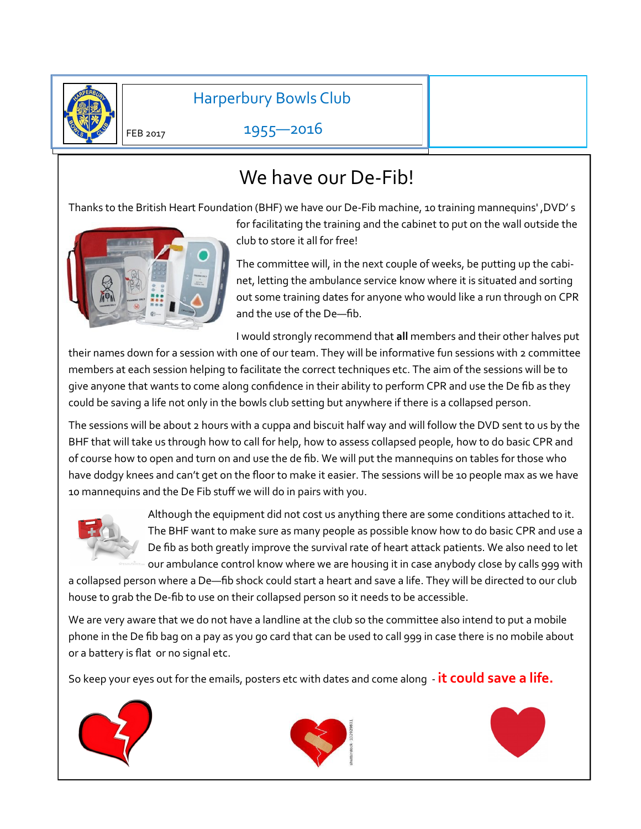

Harperbury Bowls Club

1955—2016

# We have our De-Fib!

Thanks to the British Heart Foundation (BHF) we have our De-Fib machine, 10 training mannequins' ,DVD' s



for facilitating the training and the cabinet to put on the wall outside the club to store it all for free!

The committee will, in the next couple of weeks, be putting up the cabinet, letting the ambulance service know where it is situated and sorting out some training dates for anyone who would like a run through on CPR and the use of the De—fib.

I would strongly recommend that **all** members and their other halves put

their names down for a session with one of our team. They will be informative fun sessions with 2 committee members at each session helping to facilitate the correct techniques etc. The aim of the sessions will be to give anyone that wants to come along confidence in their ability to perform CPR and use the De fib as they could be saving a life not only in the bowls club setting but anywhere if there is a collapsed person.

The sessions will be about 2 hours with a cuppa and biscuit half way and will follow the DVD sent to us by the BHF that will take us through how to call for help, how to assess collapsed people, how to do basic CPR and of course how to open and turn on and use the de fib. We will put the mannequins on tables for those who have dodgy knees and can't get on the floor to make it easier. The sessions will be 10 people max as we have 10 mannequins and the De Fib stuff we will do in pairs with you.



Although the equipment did not cost us anything there are some conditions attached to it. The BHF want to make sure as many people as possible know how to do basic CPR and use a De fib as both greatly improve the survival rate of heart attack patients. We also need to let our ambulance control know where we are housing it in case anybody close by calls 999 with

a collapsed person where a De—fib shock could start a heart and save a life. They will be directed to our club house to grab the De-fib to use on their collapsed person so it needs to be accessible.

We are very aware that we do not have a landline at the club so the committee also intend to put a mobile phone in the De fib bag on a pay as you go card that can be used to call 999 in case there is no mobile about or a battery is flat or no signal etc.

So keep your eyes out for the emails, posters etc with dates and come along - **it could save a life.**





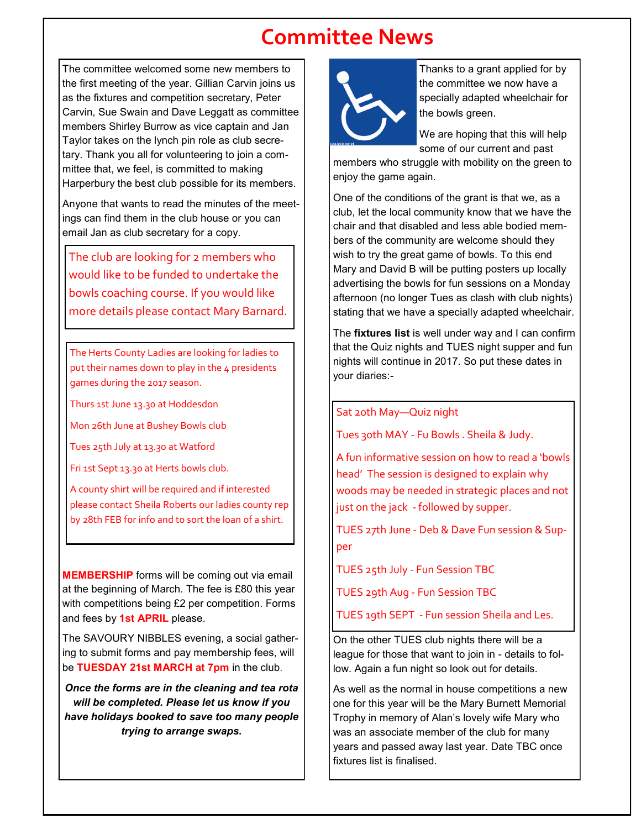## **Committee News**

The committee welcomed some new members to the first meeting of the year. Gillian Carvin joins us as the fixtures and competition secretary, Peter Carvin, Sue Swain and Dave Leggatt as committee members Shirley Burrow as vice captain and Jan Taylor takes on the lynch pin role as club secretary. Thank you all for volunteering to join a committee that, we feel, is committed to making Harperbury the best club possible for its members.

Anyone that wants to read the minutes of the meetings can find them in the club house or you can email Jan as club secretary for a copy.

The club are looking for 2 members who would like to be funded to undertake the bowls coaching course. If you would like more details please contact Mary Barnard.

The Herts County Ladies are looking for ladies to put their names down to play in the 4 presidents games during the 2017 season.

Thurs 1st June 13.30 at Hoddesdon

Mon 26th June at Bushey Bowls club

Tues 25th July at 13.30 at Watford

Fri 1st Sept 13.30 at Herts bowls club.

A county shirt will be required and if interested please contact Sheila Roberts our ladies county rep by 28th FEB for info and to sort the loan of a shirt.

**MEMBERSHIP** forms will be coming out via email at the beginning of March. The fee is £80 this year with competitions being £2 per competition. Forms and fees by **1st APRIL** please.

The SAVOURY NIBBLES evening, a social gathering to submit forms and pay membership fees, will be **TUESDAY 21st MARCH at 7pm** in the club.

*Once the forms are in the cleaning and tea rota will be completed. Please let us know if you have holidays booked to save too many people trying to arrange swaps.*



Thanks to a grant applied for by the committee we now have a specially adapted wheelchair for the bowls green.

We are hoping that this will help some of our current and past

members who struggle with mobility on the green to enjoy the game again.

One of the conditions of the grant is that we, as a club, let the local community know that we have the chair and that disabled and less able bodied members of the community are welcome should they wish to try the great game of bowls. To this end Mary and David B will be putting posters up locally advertising the bowls for fun sessions on a Monday afternoon (no longer Tues as clash with club nights) stating that we have a specially adapted wheelchair.

The **fixtures list** is well under way and I can confirm that the Quiz nights and TUES night supper and fun nights will continue in 2017. So put these dates in your diaries:-

#### Sat 20th May—Quiz night

Tues 30th MAY - Fu Bowls . Sheila & Judy.

A fun informative session on how to read a 'bowls head' The session is designed to explain why woods may be needed in strategic places and not just on the jack - followed by supper.

TUES 27th June - Deb & Dave Fun session & Supper

TUES 25th July - Fun Session TBC

TUES 29th Aug - Fun Session TBC

TUES 19th SEPT - Fun session Sheila and Les.

On the other TUES club nights there will be a league for those that want to join in - details to follow. Again a fun night so look out for details.

As well as the normal in house competitions a new one for this year will be the Mary Burnett Memorial Trophy in memory of Alan's lovely wife Mary who was an associate member of the club for many years and passed away last year. Date TBC once fixtures list is finalised.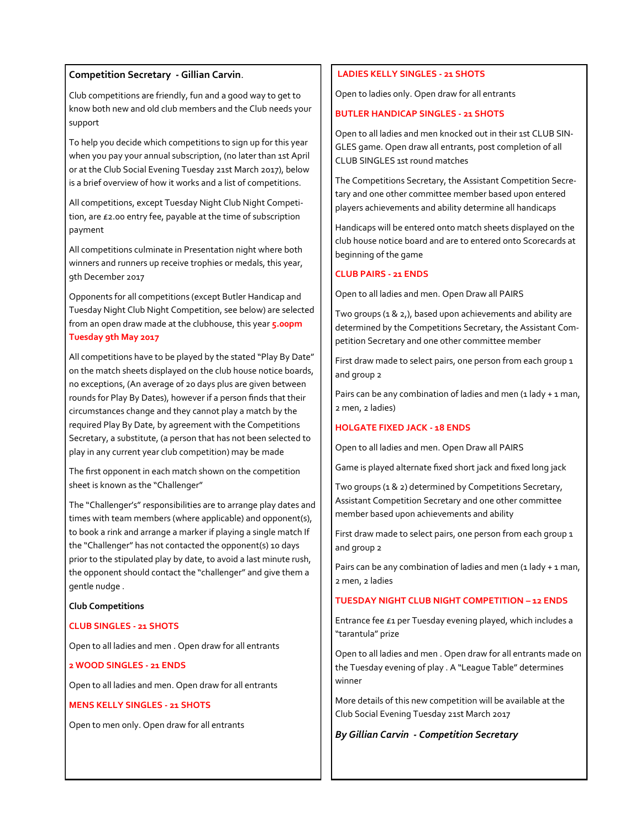#### **Competition Secretary - Gillian Carvin**.

Club competitions are friendly, fun and a good way to get to know both new and old club members and the Club needs your support

To help you decide which competitions to sign up for this year when you pay your annual subscription, (no later than 1st April or at the Club Social Evening Tuesday 21st March 2017), below is a brief overview of how it works and a list of competitions.

All competitions, except Tuesday Night Club Night Competition, are £2.00 entry fee, payable at the time of subscription payment

All competitions culminate in Presentation night where both winners and runners up receive trophies or medals, this year, 9th December 2017

Opponents for all competitions (except Butler Handicap and Tuesday Night Club Night Competition, see below) are selected from an open draw made at the clubhouse, this year **5.00pm Tuesday 9th May 2017**

All competitions have to be played by the stated "Play By Date" on the match sheets displayed on the club house notice boards, no exceptions, (An average of 20 days plus are given between rounds for Play By Dates), however if a person finds that their circumstances change and they cannot play a match by the required Play By Date, by agreement with the Competitions Secretary, a substitute, (a person that has not been selected to play in any current year club competition) may be made

The first opponent in each match shown on the competition sheet is known as the "Challenger"

The "Challenger's" responsibilities are to arrange play dates and times with team members (where applicable) and opponent(s), to book a rink and arrange a marker if playing a single match If the "Challenger" has not contacted the opponent(s) 10 days prior to the stipulated play by date, to avoid a last minute rush, the opponent should contact the "challenger" and give them a gentle nudge .

**Club Competitions**

#### **CLUB SINGLES - 21 SHOTS**

Open to all ladies and men . Open draw for all entrants

#### **2 WOOD SINGLES - 21 ENDS**

Open to all ladies and men. Open draw for all entrants

#### **MENS KELLY SINGLES - 21 SHOTS**

Open to men only. Open draw for all entrants

#### **LADIES KELLY SINGLES - 21 SHOTS**

Open to ladies only. Open draw for all entrants

#### **BUTLER HANDICAP SINGLES - 21 SHOTS**

Open to all ladies and men knocked out in their 1st CLUB SIN-GLES game. Open draw all entrants, post completion of all CLUB SINGLES 1st round matches

The Competitions Secretary, the Assistant Competition Secretary and one other committee member based upon entered players achievements and ability determine all handicaps

Handicaps will be entered onto match sheets displayed on the club house notice board and are to entered onto Scorecards at beginning of the game

#### **CLUB PAIRS - 21 ENDS**

Open to all ladies and men. Open Draw all PAIRS

Two groups (1 & 2,), based upon achievements and ability are determined by the Competitions Secretary, the Assistant Competition Secretary and one other committee member

First draw made to select pairs, one person from each group 1 and group 2

Pairs can be any combination of ladies and men  $(1$  lady + 1 man, 2 men, 2 ladies)

#### **HOLGATE FIXED JACK - 18 ENDS**

Open to all ladies and men. Open Draw all PAIRS

Game is played alternate fixed short jack and fixed long jack

Two groups (1 & 2) determined by Competitions Secretary, Assistant Competition Secretary and one other committee member based upon achievements and ability

First draw made to select pairs, one person from each group 1 and group 2

Pairs can be any combination of ladies and men  $(1$  lady  $+1$  man, 2 men, 2 ladies

#### **TUESDAY NIGHT CLUB NIGHT COMPETITION – 12 ENDS**

Entrance fee £1 per Tuesday evening played, which includes a "tarantula" prize

Open to all ladies and men . Open draw for all entrants made on the Tuesday evening of play . A "League Table" determines winner

More details of this new competition will be available at the Club Social Evening Tuesday 21st March 2017

#### *By Gillian Carvin - Competition Secretary*